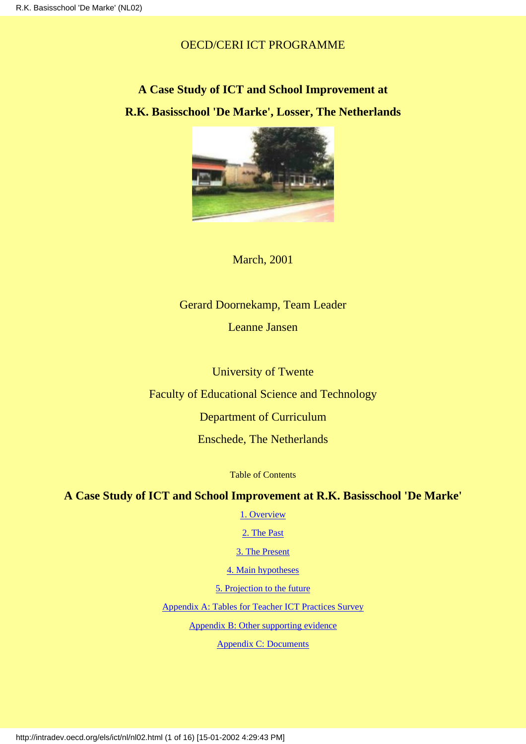# OECD/CERI ICT PROGRAMME

# **A Case Study of ICT and School Improvement at R.K. Basisschool 'De Marke', Losser, The Netherlands**



March, 2001

# Gerard Doornekamp, Team Leader

Leanne Jansen

University of Twente

Faculty of Educational Science and Technology

Department of Curriculum

Enschede, The Netherlands

Table of Contents

# <span id="page-0-0"></span>**A Case Study of ICT and School Improvement at R.K. Basisschool 'De Marke'**

[1. Overview](#page-1-0)

[2. The Past](#page-3-0)

[3. The Present](#page-5-0)

[4. Main hypotheses](#page-9-0)

[5. Projection to the future](#page-10-0)

[Appendix A: Tables for Teacher ICT Practices Survey](#page-11-0)

[Appendix B: Other supporting evidence](#page-15-0)

[Appendix C: Documents](#page-15-1)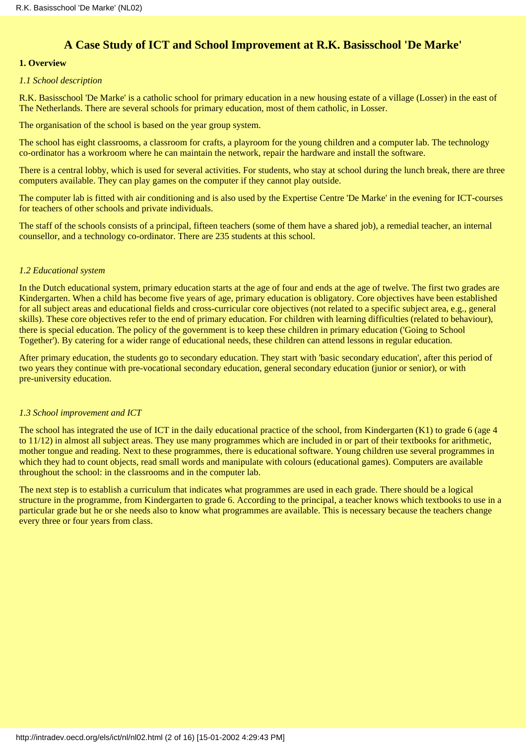# **A Case Study of ICT and School Improvement at R.K. Basisschool 'De Marke'**

# <span id="page-1-0"></span>**1. Overview**

#### *1.1 School description*

R.K. Basisschool 'De Marke' is a catholic school for primary education in a new housing estate of a village (Losser) in the east of The Netherlands. There are several schools for primary education, most of them catholic, in Losser.

The organisation of the school is based on the year group system.

The school has eight classrooms, a classroom for crafts, a playroom for the young children and a computer lab. The technology co-ordinator has a workroom where he can maintain the network, repair the hardware and install the software.

There is a central lobby, which is used for several activities. For students, who stay at school during the lunch break, there are three computers available. They can play games on the computer if they cannot play outside.

The computer lab is fitted with air conditioning and is also used by the Expertise Centre 'De Marke' in the evening for ICT-courses for teachers of other schools and private individuals.

The staff of the schools consists of a principal, fifteen teachers (some of them have a shared job), a remedial teacher, an internal counsellor, and a technology co-ordinator. There are 235 students at this school.

#### *1.2 Educational system*

In the Dutch educational system, primary education starts at the age of four and ends at the age of twelve. The first two grades are Kindergarten. When a child has become five years of age, primary education is obligatory. Core objectives have been established for all subject areas and educational fields and cross-curricular core objectives (not related to a specific subject area, e.g., general skills). These core objectives refer to the end of primary education. For children with learning difficulties (related to behaviour), there is special education. The policy of the government is to keep these children in primary education ('Going to School Together'). By catering for a wider range of educational needs, these children can attend lessons in regular education.

After primary education, the students go to secondary education. They start with 'basic secondary education', after this period of two years they continue with pre-vocational secondary education, general secondary education (junior or senior), or with pre-university education.

#### *1.3 School improvement and ICT*

The school has integrated the use of ICT in the daily educational practice of the school, from Kindergarten (K1) to grade 6 (age 4 to 11/12) in almost all subject areas. They use many programmes which are included in or part of their textbooks for arithmetic, mother tongue and reading. Next to these programmes, there is educational software. Young children use several programmes in which they had to count objects, read small words and manipulate with colours (educational games). Computers are available throughout the school: in the classrooms and in the computer lab.

The next step is to establish a curriculum that indicates what programmes are used in each grade. There should be a logical structure in the programme, from Kindergarten to grade 6. According to the principal, a teacher knows which textbooks to use in a particular grade but he or she needs also to know what programmes are available. This is necessary because the teachers change every three or four years from class.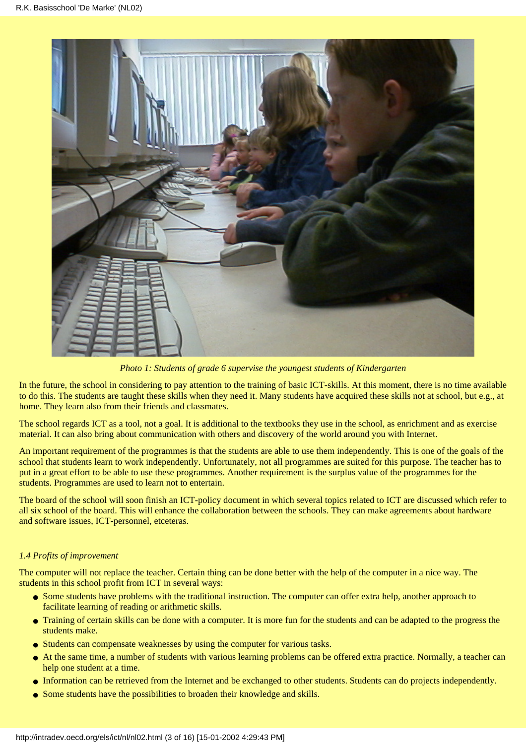

*Photo 1: Students of grade 6 supervise the youngest students of Kindergarten*

In the future, the school in considering to pay attention to the training of basic ICT-skills. At this moment, there is no time available to do this. The students are taught these skills when they need it. Many students have acquired these skills not at school, but e.g., at home. They learn also from their friends and classmates.

The school regards ICT as a tool, not a goal. It is additional to the textbooks they use in the school, as enrichment and as exercise material. It can also bring about communication with others and discovery of the world around you with Internet.

An important requirement of the programmes is that the students are able to use them independently. This is one of the goals of the school that students learn to work independently. Unfortunately, not all programmes are suited for this purpose. The teacher has to put in a great effort to be able to use these programmes. Another requirement is the surplus value of the programmes for the students. Programmes are used to learn not to entertain.

The board of the school will soon finish an ICT-policy document in which several topics related to ICT are discussed which refer to all six school of the board. This will enhance the collaboration between the schools. They can make agreements about hardware and software issues, ICT-personnel, etceteras.

# *1.4 Profits of improvement*

The computer will not replace the teacher. Certain thing can be done better with the help of the computer in a nice way. The students in this school profit from ICT in several ways:

- Some students have problems with the traditional instruction. The computer can offer extra help, another approach to facilitate learning of reading or arithmetic skills.
- Training of certain skills can be done with a computer. It is more fun for the students and can be adapted to the progress the students make.
- Students can compensate weaknesses by using the computer for various tasks.
- At the same time, a number of students with various learning problems can be offered extra practice. Normally, a teacher can help one student at a time. ●
- Information can be retrieved from the Internet and be exchanged to other students. Students can do projects independently.
- Some students have the possibilities to broaden their knowledge and skills.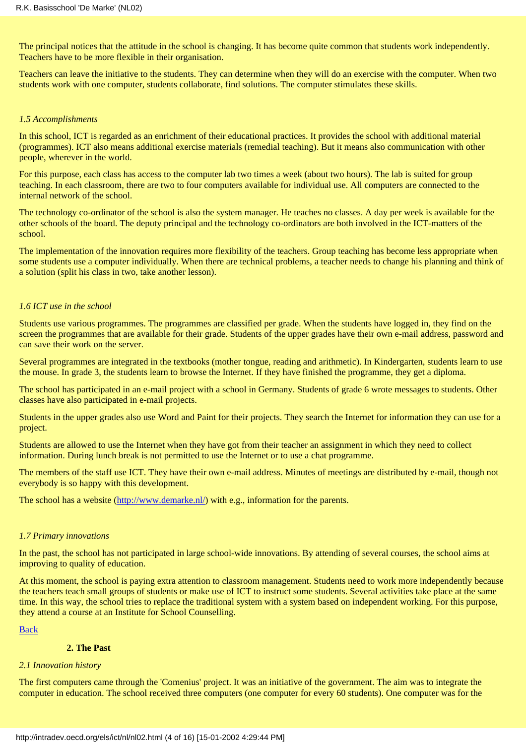The principal notices that the attitude in the school is changing. It has become quite common that students work independently. Teachers have to be more flexible in their organisation.

Teachers can leave the initiative to the students. They can determine when they will do an exercise with the computer. When two students work with one computer, students collaborate, find solutions. The computer stimulates these skills.

#### *1.5 Accomplishments*

In this school, ICT is regarded as an enrichment of their educational practices. It provides the school with additional material (programmes). ICT also means additional exercise materials (remedial teaching). But it means also communication with other people, wherever in the world.

For this purpose, each class has access to the computer lab two times a week (about two hours). The lab is suited for group teaching. In each classroom, there are two to four computers available for individual use. All computers are connected to the internal network of the school.

The technology co-ordinator of the school is also the system manager. He teaches no classes. A day per week is available for the other schools of the board. The deputy principal and the technology co-ordinators are both involved in the ICT-matters of the school.

The implementation of the innovation requires more flexibility of the teachers. Group teaching has become less appropriate when some students use a computer individually. When there are technical problems, a teacher needs to change his planning and think of a solution (split his class in two, take another lesson).

### *1.6 ICT use in the school*

Students use various programmes. The programmes are classified per grade. When the students have logged in, they find on the screen the programmes that are available for their grade. Students of the upper grades have their own e-mail address, password and can save their work on the server.

Several programmes are integrated in the textbooks (mother tongue, reading and arithmetic). In Kindergarten, students learn to use the mouse. In grade 3, the students learn to browse the Internet. If they have finished the programme, they get a diploma.

The school has participated in an e-mail project with a school in Germany. Students of grade 6 wrote messages to students. Other classes have also participated in e-mail projects.

Students in the upper grades also use Word and Paint for their projects. They search the Internet for information they can use for a project.

Students are allowed to use the Internet when they have got from their teacher an assignment in which they need to collect information. During lunch break is not permitted to use the Internet or to use a chat programme.

The members of the staff use ICT. They have their own e-mail address. Minutes of meetings are distributed by e-mail, though not everybody is so happy with this development.

The school has a website [\(http://www.demarke.nl/](http://www.demarke.nl/)) with e.g., information for the parents.

#### *1.7 Primary innovations*

In the past, the school has not participated in large school-wide innovations. By attending of several courses, the school aims at improving to quality of education.

At this moment, the school is paying extra attention to classroom management. Students need to work more independently because the teachers teach small groups of students or make use of ICT to instruct some students. Several activities take place at the same time. In this way, the school tries to replace the traditional system with a system based on independent working. For this purpose, they attend a course at an Institute for School Counselling.

#### [Back](#page-0-0)

# **2. The Past**

#### <span id="page-3-0"></span>*2.1 Innovation history*

The first computers came through the 'Comenius' project. It was an initiative of the government. The aim was to integrate the computer in education. The school received three computers (one computer for every 60 students). One computer was for the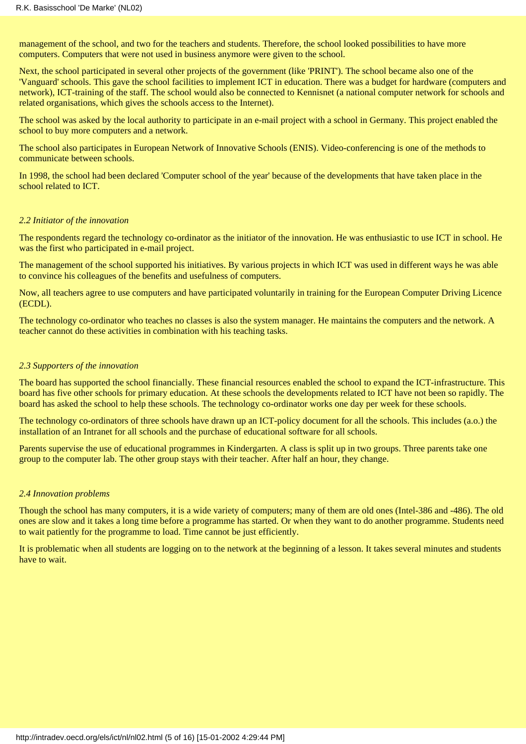management of the school, and two for the teachers and students. Therefore, the school looked possibilities to have more computers. Computers that were not used in business anymore were given to the school.

Next, the school participated in several other projects of the government (like 'PRINT'). The school became also one of the 'Vanguard' schools. This gave the school facilities to implement ICT in education. There was a budget for hardware (computers and network), ICT-training of the staff. The school would also be connected to Kennisnet (a national computer network for schools and related organisations, which gives the schools access to the Internet).

The school was asked by the local authority to participate in an e-mail project with a school in Germany. This project enabled the school to buy more computers and a network.

The school also participates in European Network of Innovative Schools (ENIS). Video-conferencing is one of the methods to communicate between schools.

In 1998, the school had been declared 'Computer school of the year' because of the developments that have taken place in the school related to ICT.

#### *2.2 Initiator of the innovation*

The respondents regard the technology co-ordinator as the initiator of the innovation. He was enthusiastic to use ICT in school. He was the first who participated in e-mail project.

The management of the school supported his initiatives. By various projects in which ICT was used in different ways he was able to convince his colleagues of the benefits and usefulness of computers.

Now, all teachers agree to use computers and have participated voluntarily in training for the European Computer Driving Licence (ECDL).

The technology co-ordinator who teaches no classes is also the system manager. He maintains the computers and the network. A teacher cannot do these activities in combination with his teaching tasks.

#### *2.3 Supporters of the innovation*

The board has supported the school financially. These financial resources enabled the school to expand the ICT-infrastructure. This board has five other schools for primary education. At these schools the developments related to ICT have not been so rapidly. The board has asked the school to help these schools. The technology co-ordinator works one day per week for these schools.

The technology co-ordinators of three schools have drawn up an ICT-policy document for all the schools. This includes (a.o.) the installation of an Intranet for all schools and the purchase of educational software for all schools.

Parents supervise the use of educational programmes in Kindergarten. A class is split up in two groups. Three parents take one group to the computer lab. The other group stays with their teacher. After half an hour, they change.

#### *2.4 Innovation problems*

Though the school has many computers, it is a wide variety of computers; many of them are old ones (Intel-386 and -486). The old ones are slow and it takes a long time before a programme has started. Or when they want to do another programme. Students need to wait patiently for the programme to load. Time cannot be just efficiently.

It is problematic when all students are logging on to the network at the beginning of a lesson. It takes several minutes and students have to wait.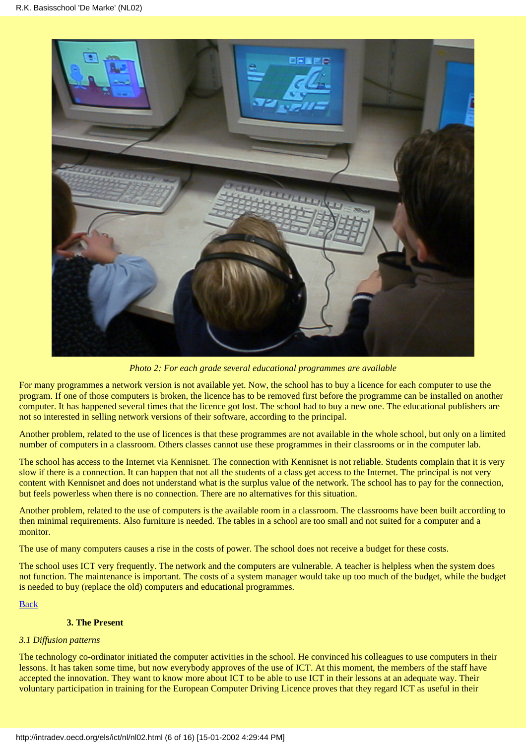

*Photo 2: For each grade several educational programmes are available*

For many programmes a network version is not available yet. Now, the school has to buy a licence for each computer to use the program. If one of those computers is broken, the licence has to be removed first before the programme can be installed on another computer. It has happened several times that the licence got lost. The school had to buy a new one. The educational publishers are not so interested in selling network versions of their software, according to the principal.

Another problem, related to the use of licences is that these programmes are not available in the whole school, but only on a limited number of computers in a classroom. Others classes cannot use these programmes in their classrooms or in the computer lab.

The school has access to the Internet via Kennisnet. The connection with Kennisnet is not reliable. Students complain that it is very slow if there is a connection. It can happen that not all the students of a class get access to the Internet. The principal is not very content with Kennisnet and does not understand what is the surplus value of the network. The school has to pay for the connection, but feels powerless when there is no connection. There are no alternatives for this situation.

Another problem, related to the use of computers is the available room in a classroom. The classrooms have been built according to then minimal requirements. Also furniture is needed. The tables in a school are too small and not suited for a computer and a monitor.

The use of many computers causes a rise in the costs of power. The school does not receive a budget for these costs.

The school uses ICT very frequently. The network and the computers are vulnerable. A teacher is helpless when the system does not function. The maintenance is important. The costs of a system manager would take up too much of the budget, while the budget is needed to buy (replace the old) computers and educational programmes.

[Back](#page-0-0)

## **3. The Present**

#### <span id="page-5-0"></span>*3.1 Diffusion patterns*

The technology co-ordinator initiated the computer activities in the school. He convinced his colleagues to use computers in their lessons. It has taken some time, but now everybody approves of the use of ICT. At this moment, the members of the staff have accepted the innovation. They want to know more about ICT to be able to use ICT in their lessons at an adequate way. Their voluntary participation in training for the European Computer Driving Licence proves that they regard ICT as useful in their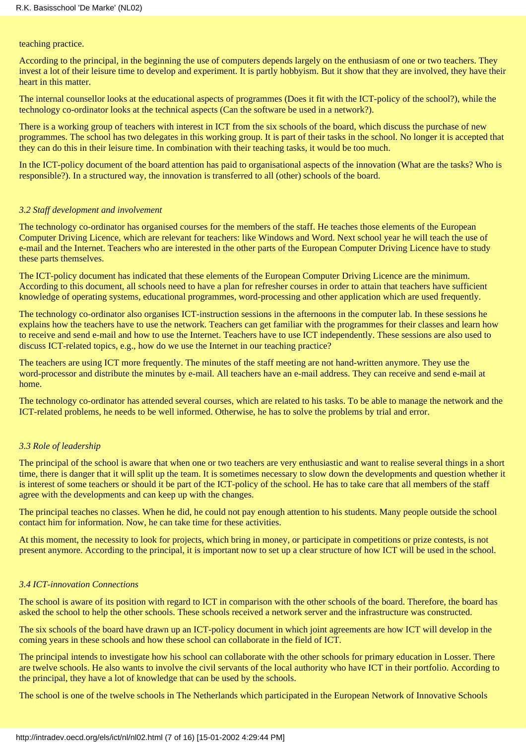teaching practice.

According to the principal, in the beginning the use of computers depends largely on the enthusiasm of one or two teachers. They invest a lot of their leisure time to develop and experiment. It is partly hobbyism. But it show that they are involved, they have their heart in this matter.

The internal counsellor looks at the educational aspects of programmes (Does it fit with the ICT-policy of the school?), while the technology co-ordinator looks at the technical aspects (Can the software be used in a network?).

There is a working group of teachers with interest in ICT from the six schools of the board, which discuss the purchase of new programmes. The school has two delegates in this working group. It is part of their tasks in the school. No longer it is accepted that they can do this in their leisure time. In combination with their teaching tasks, it would be too much.

In the ICT-policy document of the board attention has paid to organisational aspects of the innovation (What are the tasks? Who is responsible?). In a structured way, the innovation is transferred to all (other) schools of the board.

#### *3.2 Staff development and involvement*

The technology co-ordinator has organised courses for the members of the staff. He teaches those elements of the European Computer Driving Licence, which are relevant for teachers: like Windows and Word. Next school year he will teach the use of e-mail and the Internet. Teachers who are interested in the other parts of the European Computer Driving Licence have to study these parts themselves.

The ICT-policy document has indicated that these elements of the European Computer Driving Licence are the minimum. According to this document, all schools need to have a plan for refresher courses in order to attain that teachers have sufficient knowledge of operating systems, educational programmes, word-processing and other application which are used frequently.

The technology co-ordinator also organises ICT-instruction sessions in the afternoons in the computer lab. In these sessions he explains how the teachers have to use the network. Teachers can get familiar with the programmes for their classes and learn how to receive and send e-mail and how to use the Internet. Teachers have to use ICT independently. These sessions are also used to discuss ICT-related topics, e.g., how do we use the Internet in our teaching practice?

The teachers are using ICT more frequently. The minutes of the staff meeting are not hand-written anymore. They use the word-processor and distribute the minutes by e-mail. All teachers have an e-mail address. They can receive and send e-mail at home.

The technology co-ordinator has attended several courses, which are related to his tasks. To be able to manage the network and the ICT-related problems, he needs to be well informed. Otherwise, he has to solve the problems by trial and error.

#### *3.3 Role of leadership*

The principal of the school is aware that when one or two teachers are very enthusiastic and want to realise several things in a short time, there is danger that it will split up the team. It is sometimes necessary to slow down the developments and question whether it is interest of some teachers or should it be part of the ICT-policy of the school. He has to take care that all members of the staff agree with the developments and can keep up with the changes.

The principal teaches no classes. When he did, he could not pay enough attention to his students. Many people outside the school contact him for information. Now, he can take time for these activities.

At this moment, the necessity to look for projects, which bring in money, or participate in competitions or prize contests, is not present anymore. According to the principal, it is important now to set up a clear structure of how ICT will be used in the school.

#### *3.4 ICT-innovation Connections*

The school is aware of its position with regard to ICT in comparison with the other schools of the board. Therefore, the board has asked the school to help the other schools. These schools received a network server and the infrastructure was constructed.

The six schools of the board have drawn up an ICT-policy document in which joint agreements are how ICT will develop in the coming years in these schools and how these school can collaborate in the field of ICT.

The principal intends to investigate how his school can collaborate with the other schools for primary education in Losser. There are twelve schools. He also wants to involve the civil servants of the local authority who have ICT in their portfolio. According to the principal, they have a lot of knowledge that can be used by the schools.

The school is one of the twelve schools in The Netherlands which participated in the European Network of Innovative Schools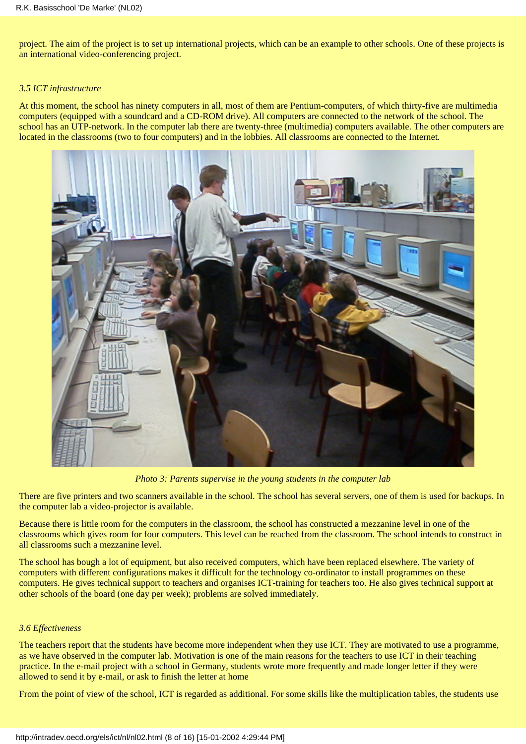project. The aim of the project is to set up international projects, which can be an example to other schools. One of these projects is an international video-conferencing project.

### *3.5 ICT infrastructure*

At this moment, the school has ninety computers in all, most of them are Pentium-computers, of which thirty-five are multimedia computers (equipped with a soundcard and a CD-ROM drive). All computers are connected to the network of the school. The school has an UTP-network. In the computer lab there are twenty-three (multimedia) computers available. The other computers are located in the classrooms (two to four computers) and in the lobbies. All classrooms are connected to the Internet.



*Photo 3: Parents supervise in the young students in the computer lab*

There are five printers and two scanners available in the school. The school has several servers, one of them is used for backups. In the computer lab a video-projector is available.

Because there is little room for the computers in the classroom, the school has constructed a mezzanine level in one of the classrooms which gives room for four computers. This level can be reached from the classroom. The school intends to construct in all classrooms such a mezzanine level.

The school has bough a lot of equipment, but also received computers, which have been replaced elsewhere. The variety of computers with different configurations makes it difficult for the technology co-ordinator to install programmes on these computers. He gives technical support to teachers and organises ICT-training for teachers too. He also gives technical support at other schools of the board (one day per week); problems are solved immediately.

# *3.6 Effectiveness*

The teachers report that the students have become more independent when they use ICT. They are motivated to use a programme, as we have observed in the computer lab. Motivation is one of the main reasons for the teachers to use ICT in their teaching practice. In the e-mail project with a school in Germany, students wrote more frequently and made longer letter if they were allowed to send it by e-mail, or ask to finish the letter at home

From the point of view of the school, ICT is regarded as additional. For some skills like the multiplication tables, the students use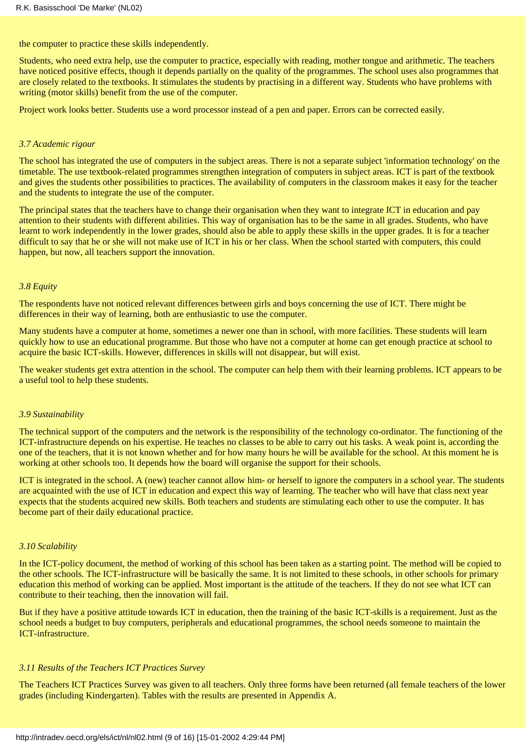the computer to practice these skills independently.

Students, who need extra help, use the computer to practice, especially with reading, mother tongue and arithmetic. The teachers have noticed positive effects, though it depends partially on the quality of the programmes. The school uses also programmes that are closely related to the textbooks. It stimulates the students by practising in a different way. Students who have problems with writing (motor skills) benefit from the use of the computer.

Project work looks better. Students use a word processor instead of a pen and paper. Errors can be corrected easily.

#### *3.7 Academic rigour*

The school has integrated the use of computers in the subject areas. There is not a separate subject 'information technology' on the timetable. The use textbook-related programmes strengthen integration of computers in subject areas. ICT is part of the textbook and gives the students other possibilities to practices. The availability of computers in the classroom makes it easy for the teacher and the students to integrate the use of the computer.

The principal states that the teachers have to change their organisation when they want to integrate ICT in education and pay attention to their students with different abilities. This way of organisation has to be the same in all grades. Students, who have learnt to work independently in the lower grades, should also be able to apply these skills in the upper grades. It is for a teacher difficult to say that he or she will not make use of ICT in his or her class. When the school started with computers, this could happen, but now, all teachers support the innovation.

#### *3.8 Equity*

The respondents have not noticed relevant differences between girls and boys concerning the use of ICT. There might be differences in their way of learning, both are enthusiastic to use the computer.

Many students have a computer at home, sometimes a newer one than in school, with more facilities. These students will learn quickly how to use an educational programme. But those who have not a computer at home can get enough practice at school to acquire the basic ICT-skills. However, differences in skills will not disappear, but will exist.

The weaker students get extra attention in the school. The computer can help them with their learning problems. ICT appears to be a useful tool to help these students.

#### *3.9 Sustainability*

The technical support of the computers and the network is the responsibility of the technology co-ordinator. The functioning of the ICT-infrastructure depends on his expertise. He teaches no classes to be able to carry out his tasks. A weak point is, according the one of the teachers, that it is not known whether and for how many hours he will be available for the school. At this moment he is working at other schools too. It depends how the board will organise the support for their schools.

ICT is integrated in the school. A (new) teacher cannot allow him- or herself to ignore the computers in a school year. The students are acquainted with the use of ICT in education and expect this way of learning. The teacher who will have that class next year expects that the students acquired new skills. Both teachers and students are stimulating each other to use the computer. It has become part of their daily educational practice.

### *3.10 Scalability*

In the ICT-policy document, the method of working of this school has been taken as a starting point. The method will be copied to the other schools. The ICT-infrastructure will be basically the same. It is not limited to these schools, in other schools for primary education this method of working can be applied. Most important is the attitude of the teachers. If they do not see what ICT can contribute to their teaching, then the innovation will fail.

But if they have a positive attitude towards ICT in education, then the training of the basic ICT-skills is a requirement. Just as the school needs a budget to buy computers, peripherals and educational programmes, the school needs someone to maintain the ICT-infrastructure.

#### *3.11 Results of the Teachers ICT Practices Survey*

The Teachers ICT Practices Survey was given to all teachers. Only three forms have been returned (all female teachers of the lower grades (including Kindergarten). Tables with the results are presented in Appendix A.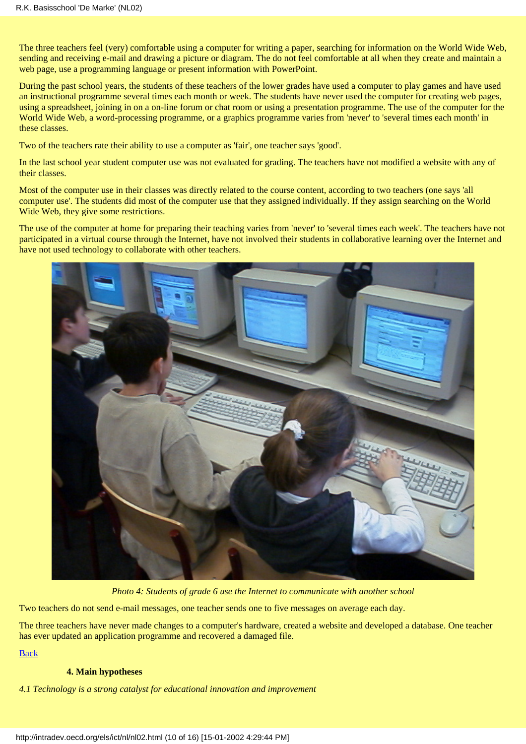The three teachers feel (very) comfortable using a computer for writing a paper, searching for information on the World Wide Web, sending and receiving e-mail and drawing a picture or diagram. The do not feel comfortable at all when they create and maintain a web page, use a programming language or present information with PowerPoint.

During the past school years, the students of these teachers of the lower grades have used a computer to play games and have used an instructional programme several times each month or week. The students have never used the computer for creating web pages, using a spreadsheet, joining in on a on-line forum or chat room or using a presentation programme. The use of the computer for the World Wide Web, a word-processing programme, or a graphics programme varies from 'never' to 'several times each month' in these classes.

Two of the teachers rate their ability to use a computer as 'fair', one teacher says 'good'.

In the last school year student computer use was not evaluated for grading. The teachers have not modified a website with any of their classes.

Most of the computer use in their classes was directly related to the course content, according to two teachers (one says 'all computer use'. The students did most of the computer use that they assigned individually. If they assign searching on the World Wide Web, they give some restrictions.

The use of the computer at home for preparing their teaching varies from 'never' to 'several times each week'. The teachers have not participated in a virtual course through the Internet, have not involved their students in collaborative learning over the Internet and have not used technology to collaborate with other teachers.



*Photo 4: Students of grade 6 use the Internet to communicate with another school*

Two teachers do not send e-mail messages, one teacher sends one to five messages on average each day.

The three teachers have never made changes to a computer's hardware, created a website and developed a database. One teacher has ever updated an application programme and recovered a damaged file.

[Back](#page-0-0)

#### **4. Main hypotheses**

<span id="page-9-0"></span>*4.1 Technology is a strong catalyst for educational innovation and improvement*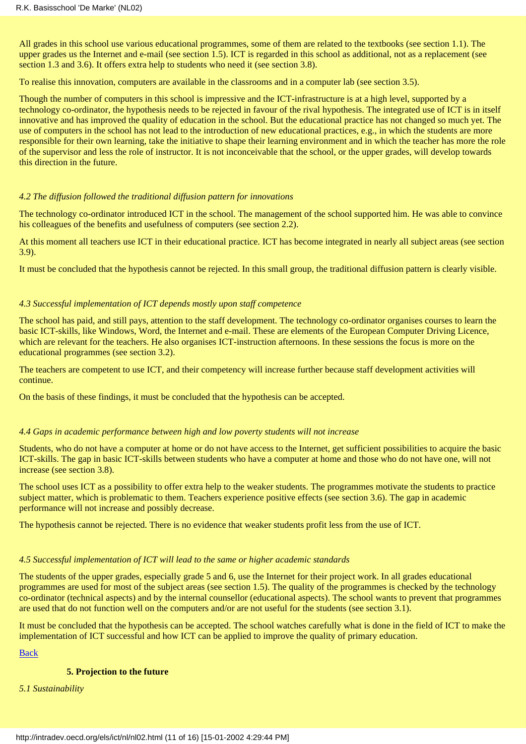All grades in this school use various educational programmes, some of them are related to the textbooks (see section 1.1). The upper grades us the Internet and e-mail (see section  $\overline{1.5}$ ). ICT is regarded in this school as additional, not as a replacement (see section 1.3 and 3.6). It offers extra help to students who need it (see section 3.8).

To realise this innovation, computers are available in the classrooms and in a computer lab (see section 3.5).

Though the number of computers in this school is impressive and the ICT-infrastructure is at a high level, supported by a technology co-ordinator, the hypothesis needs to be rejected in favour of the rival hypothesis. The integrated use of ICT is in itself innovative and has improved the quality of education in the school. But the educational practice has not changed so much yet. The use of computers in the school has not lead to the introduction of new educational practices, e.g., in which the students are more responsible for their own learning, take the initiative to shape their learning environment and in which the teacher has more the role of the supervisor and less the role of instructor. It is not inconceivable that the school, or the upper grades, will develop towards this direction in the future.

#### *4.2 The diffusion followed the traditional diffusion pattern for innovations*

The technology co-ordinator introduced ICT in the school. The management of the school supported him. He was able to convince his colleagues of the benefits and usefulness of computers (see section 2.2).

At this moment all teachers use ICT in their educational practice. ICT has become integrated in nearly all subject areas (see section 3.9).

It must be concluded that the hypothesis cannot be rejected. In this small group, the traditional diffusion pattern is clearly visible.

#### *4.3 Successful implementation of ICT depends mostly upon staff competence*

The school has paid, and still pays, attention to the staff development. The technology co-ordinator organises courses to learn the basic ICT-skills, like Windows, Word, the Internet and e-mail. These are elements of the European Computer Driving Licence, which are relevant for the teachers. He also organises ICT-instruction afternoons. In these sessions the focus is more on the educational programmes (see section 3.2).

The teachers are competent to use ICT, and their competency will increase further because staff development activities will continue.

On the basis of these findings, it must be concluded that the hypothesis can be accepted.

#### *4.4 Gaps in academic performance between high and low poverty students will not increase*

Students, who do not have a computer at home or do not have access to the Internet, get sufficient possibilities to acquire the basic ICT-skills. The gap in basic ICT-skills between students who have a computer at home and those who do not have one, will not increase (see section 3.8).

The school uses ICT as a possibility to offer extra help to the weaker students. The programmes motivate the students to practice subject matter, which is problematic to them. Teachers experience positive effects (see section 3.6). The gap in academic performance will not increase and possibly decrease.

The hypothesis cannot be rejected. There is no evidence that weaker students profit less from the use of ICT.

# *4.5 Successful implementation of ICT will lead to the same or higher academic standards*

The students of the upper grades, especially grade 5 and 6, use the Internet for their project work. In all grades educational programmes are used for most of the subject areas (see section 1.5). The quality of the programmes is checked by the technology co-ordinator (technical aspects) and by the internal counsellor (educational aspects). The school wants to prevent that programmes are used that do not function well on the computers and/or are not useful for the students (see section 3.1).

It must be concluded that the hypothesis can be accepted. The school watches carefully what is done in the field of ICT to make the implementation of ICT successful and how ICT can be applied to improve the quality of primary education.

[Back](#page-0-0)

#### **5. Projection to the future**

<span id="page-10-0"></span>*5.1 Sustainability*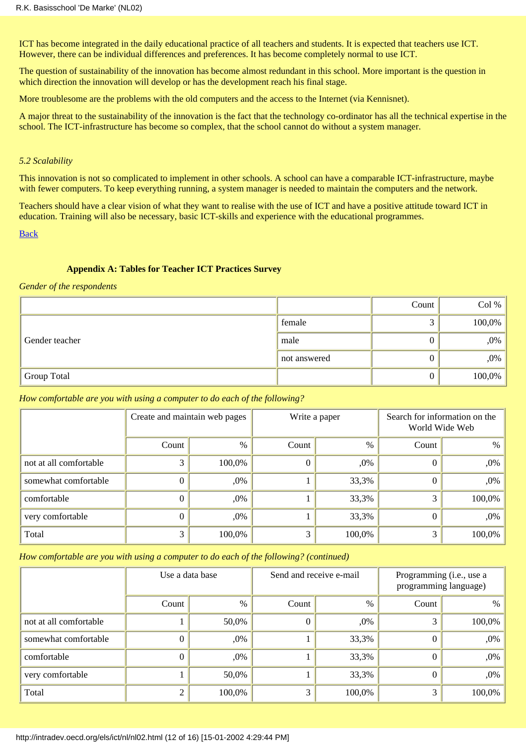ICT has become integrated in the daily educational practice of all teachers and students. It is expected that teachers use ICT. However, there can be individual differences and preferences. It has become completely normal to use ICT.

The question of sustainability of the innovation has become almost redundant in this school. More important is the question in which direction the innovation will develop or has the development reach his final stage.

More troublesome are the problems with the old computers and the access to the Internet (via Kennisnet).

A major threat to the sustainability of the innovation is the fact that the technology co-ordinator has all the technical expertise in the school. The ICT-infrastructure has become so complex, that the school cannot do without a system manager.

### *5.2 Scalability*

This innovation is not so complicated to implement in other schools. A school can have a comparable ICT-infrastructure, maybe with fewer computers. To keep everything running, a system manager is needed to maintain the computers and the network.

Teachers should have a clear vision of what they want to realise with the use of ICT and have a positive attitude toward ICT in education. Training will also be necessary, basic ICT-skills and experience with the educational programmes.

[Back](#page-0-0)

### **Appendix A: Tables for Teacher ICT Practices Survey**

#### <span id="page-11-0"></span>*Gender of the respondents*

|                |              | Count | Col %  |
|----------------|--------------|-------|--------|
|                | female       |       | 100,0% |
| Gender teacher | male         |       | ,0%    |
|                | not answered |       | ,0%    |
| Group Total    |              |       | 100,0% |

#### *How comfortable are you with using a computer to do each of the following?*

|                        | Create and maintain web pages |        | Write a paper |        | Search for information on the<br>World Wide Web |        |
|------------------------|-------------------------------|--------|---------------|--------|-------------------------------------------------|--------|
|                        | Count                         | $\%$   | Count         | $\%$   | Count                                           | $\%$   |
| not at all comfortable |                               | 100,0% |               | $,0\%$ | O                                               | $,0\%$ |
| somewhat comfortable   |                               | ,0%    |               | 33,3%  | $\theta$                                        | $,0\%$ |
| comfortable            |                               | ,0%    |               | 33,3%  | 3                                               | 100,0% |
| very comfortable       |                               | ,0%    |               | 33,3%  | $\theta$                                        | ,0%    |
| Total                  |                               | 100,0% | 3             | 100,0% | 3                                               | 100,0% |

# *How comfortable are you with using a computer to do each of the following? (continued)*

|                        | Use a data base |        | Send and receive e-mail |        | Programming (i.e., use a<br>programming language) |        |
|------------------------|-----------------|--------|-------------------------|--------|---------------------------------------------------|--------|
|                        | Count           | $\%$   | Count                   | $\%$   | Count                                             | $\%$   |
| not at all comfortable |                 | 50,0%  | 0                       | $,0\%$ | 3                                                 | 100,0% |
| somewhat comfortable   |                 | ,0%    |                         | 33,3%  | $\theta$                                          | $,0\%$ |
| comfortable            |                 | ,0%    |                         | 33,3%  | $^{(1)}$                                          | $,0\%$ |
| very comfortable       |                 | 50,0%  |                         | 33,3%  | 0                                                 | $,0\%$ |
| Total                  |                 | 100,0% | 3                       | 100,0% | 3                                                 | 100,0% |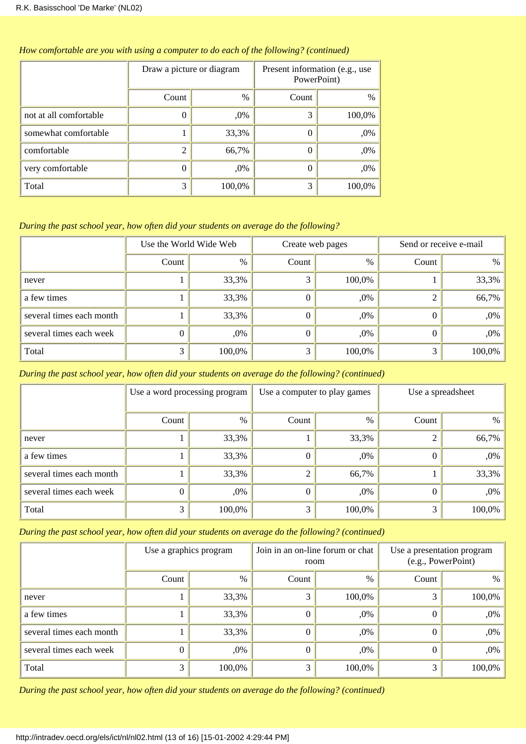|                        | Draw a picture or diagram |        | Present information (e.g., use<br>PowerPoint) |        |  |
|------------------------|---------------------------|--------|-----------------------------------------------|--------|--|
|                        | Count                     | %      | Count                                         | %      |  |
| not at all comfortable | 0                         | $,0\%$ | 3                                             | 100,0% |  |
| somewhat comfortable   |                           | 33,3%  | $\theta$                                      | ,0%    |  |
| comfortable            | 2                         | 66,7%  | $\theta$                                      | ,0%    |  |
| very comfortable       | $\theta$                  | $,0\%$ | $\theta$                                      | ,0%    |  |
| Total                  | 3                         | 100,0% | 3                                             | 100,0% |  |

## *How comfortable are you with using a computer to do each of the following? (continued)*

# *During the past school year, how often did your students on average do the following?*

|                          | Use the World Wide Web |        | Create web pages |        | Send or receive e-mail |        |
|--------------------------|------------------------|--------|------------------|--------|------------------------|--------|
|                          | Count                  | %      | Count            | $\%$   | Count                  | $\%$   |
| never                    |                        | 33,3%  | 3                | 100,0% |                        | 33,3%  |
| a few times              |                        | 33,3%  | $\theta$         | $,0\%$ |                        | 66,7%  |
| several times each month |                        | 33,3%  | $\Omega$         | $,0\%$ |                        | ,0%    |
| several times each week  |                        | ,0%    | $\Omega$         | ,0%    |                        | ,0%    |
| Total                    |                        | 100,0% | 3                | 100,0% |                        | 100,0% |

# *During the past school year, how often did your students on average do the following? (continued)*

|                          | Use a word processing program |        | Use a computer to play games |        | Use a spreadsheet |        |
|--------------------------|-------------------------------|--------|------------------------------|--------|-------------------|--------|
|                          | Count                         | %      | Count                        | $\%$   | Count             | $\%$   |
| never                    |                               | 33,3%  |                              | 33,3%  |                   | 66,7%  |
| a few times              |                               | 33,3%  | $\theta$                     | $,0\%$ | 0                 | ,0%    |
| several times each month |                               | 33,3%  | 2                            | 66,7%  |                   | 33,3%  |
| several times each week  |                               | ,0%    | $\mathbf{0}$                 | $,0\%$ | $\theta$          | ,0%    |
| Total                    |                               | 100,0% | 3                            | 100,0% |                   | 100,0% |

*During the past school year, how often did your students on average do the following? (continued)*

|                          | Use a graphics program |        | Join in an on-line forum or chat<br>room |        | Use a presentation program<br>(e.g., PowerPoint) |        |
|--------------------------|------------------------|--------|------------------------------------------|--------|--------------------------------------------------|--------|
|                          | Count                  | %      | Count                                    | $\%$   | Count                                            | $\%$   |
| never                    |                        | 33,3%  | 3                                        | 100,0% |                                                  | 100,0% |
| a few times              |                        | 33,3%  | O                                        | $,0\%$ | O                                                | ,0%    |
| several times each month |                        | 33,3%  | $\theta$                                 | $,0\%$ | 0                                                | ,0%    |
| several times each week  |                        | ,0%    | $\theta$                                 | ,0%    | 0                                                | ,0%    |
| Total                    |                        | 100,0% | 3                                        | 100,0% | 3                                                | 100,0% |

*During the past school year, how often did your students on average do the following? (continued)*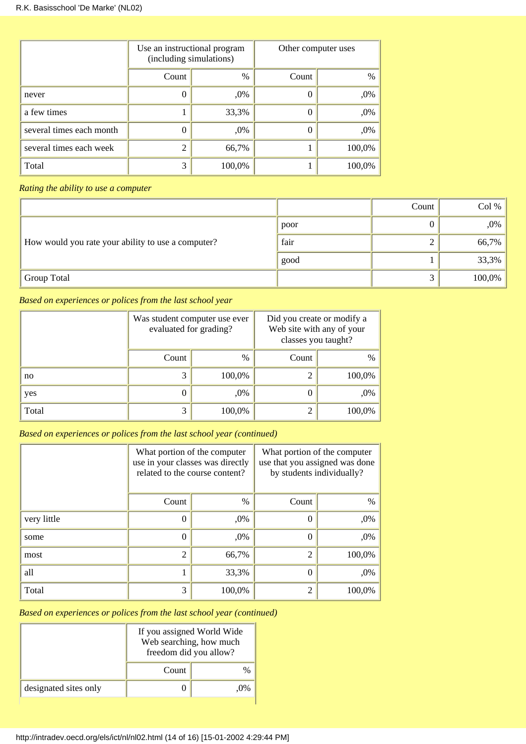|                          | Use an instructional program<br>(including simulations) |               | Other computer uses |        |
|--------------------------|---------------------------------------------------------|---------------|---------------------|--------|
|                          | Count                                                   | $\frac{0}{0}$ | Count               | $\%$   |
| never                    |                                                         | ,0%           |                     | ,0%    |
| a few times              |                                                         | 33,3%         | O                   | ,0%    |
| several times each month | 0                                                       | ,0%           | $\theta$            | ,0%    |
| several times each week  | $\overline{2}$                                          | 66,7%         |                     | 100,0% |
| Total                    | 3                                                       | 100,0%        |                     | 100,0% |

*Rating the ability to use a computer*

|                                                    |      | Count | Col %  |
|----------------------------------------------------|------|-------|--------|
|                                                    | poor |       | ,0%    |
| How would you rate your ability to use a computer? | fair |       | 66,7%  |
|                                                    | good |       | 33,3%  |
| <sup>1</sup> Group Total                           |      |       | 100,0% |

*Based on experiences or polices from the last school year*

|       | evaluated for grading? | Was student computer use ever | Did you create or modify a<br>Web site with any of your<br>classes you taught? |        |
|-------|------------------------|-------------------------------|--------------------------------------------------------------------------------|--------|
|       | Count                  | $\frac{0}{0}$                 | Count                                                                          | $\%$   |
| no    | 3                      | 100,0%                        | っ                                                                              | 100,0% |
| yes   | 0                      | ,0%                           | 0                                                                              | ,0%    |
| Total | 3                      | 100,0%                        | 2                                                                              | 100,0% |

*Based on experiences or polices from the last school year (continued)*

|             | What portion of the computer<br>use in your classes was directly<br>related to the course content? |        | What portion of the computer<br>use that you assigned was done<br>by students individually? |        |
|-------------|----------------------------------------------------------------------------------------------------|--------|---------------------------------------------------------------------------------------------|--------|
|             | Count                                                                                              | $\%$   | Count                                                                                       | $\%$   |
| very little | 0                                                                                                  | ,0%    | $\theta$                                                                                    | ,0%    |
| some        | $\theta$                                                                                           | ,0%    | 0                                                                                           | ,0%    |
| most        | $\overline{2}$                                                                                     | 66,7%  | $\overline{2}$                                                                              | 100,0% |
| all         |                                                                                                    | 33,3%  | $\theta$                                                                                    | ,0%    |
| Total       | 3                                                                                                  | 100,0% | 2                                                                                           | 100,0% |

*Based on experiences or polices from the last school year (continued)*

|                       | If you assigned World Wide<br>Web searching, how much<br>freedom did you allow? |  |  |
|-----------------------|---------------------------------------------------------------------------------|--|--|
|                       | Count                                                                           |  |  |
| designated sites only |                                                                                 |  |  |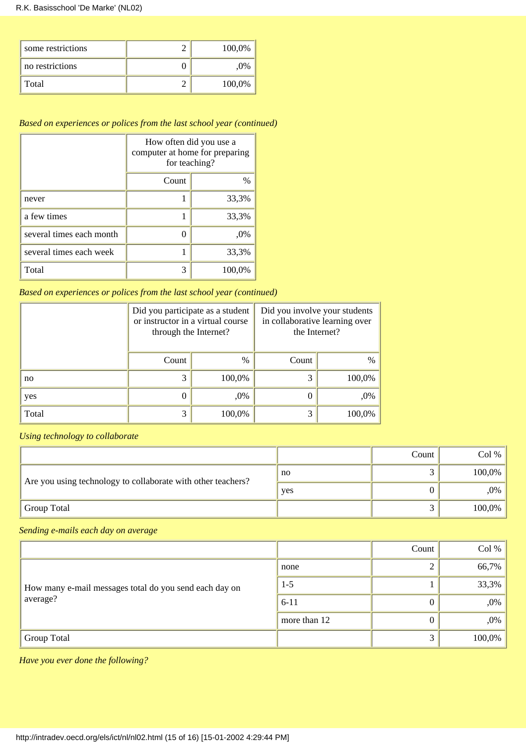| some restrictions | 100,0% |
|-------------------|--------|
| no restrictions   | .0%    |
| Total             | 100,0% |

# *Based on experiences or polices from the last school year (continued)*

|                          | How often did you use a<br>computer at home for preparing<br>for teaching? |        |  |  |
|--------------------------|----------------------------------------------------------------------------|--------|--|--|
|                          | Count<br>$\%$                                                              |        |  |  |
| never                    |                                                                            | 33,3%  |  |  |
| a few times              |                                                                            | 33,3%  |  |  |
| several times each month |                                                                            | ,0%    |  |  |
| several times each week  |                                                                            | 33,3%  |  |  |
| Total                    | 3                                                                          | 100,0% |  |  |

*Based on experiences or polices from the last school year (continued)*

|       | Did you participate as a student<br>or instructor in a virtual course<br>through the Internet? |               | Did you involve your students<br>in collaborative learning over<br>the Internet? |        |
|-------|------------------------------------------------------------------------------------------------|---------------|----------------------------------------------------------------------------------|--------|
|       | Count                                                                                          | $\frac{0}{0}$ | Count                                                                            | $\%$   |
| no    | 3                                                                                              | 100,0%        | 3                                                                                | 100,0% |
| yes   | $\theta$                                                                                       | ,0%           |                                                                                  | ,0%    |
| Total | 3                                                                                              | 100,0%        | 3                                                                                | 100,0% |

*Using technology to collaborate*

|                                                              |              | Count | Col %  |
|--------------------------------------------------------------|--------------|-------|--------|
| Are you using technology to collaborate with other teachers? | $\mathbf{n}$ |       | 100,0% |
|                                                              | yes          |       | ,0%    |
| <b>Group Total</b>                                           |              |       | 100,0% |

*Sending e-mails each day on average*

|                                                        |              | Count | Col %  |
|--------------------------------------------------------|--------------|-------|--------|
|                                                        | none         |       | 66,7%  |
| How many e-mail messages total do you send each day on | $1-5$        |       | 33,3%  |
| average?                                               | $6 - 11$     |       | ,0%    |
|                                                        | more than 12 |       | ,0%    |
| Group Total                                            |              | ⌒     | 100,0% |

*Have you ever done the following?*